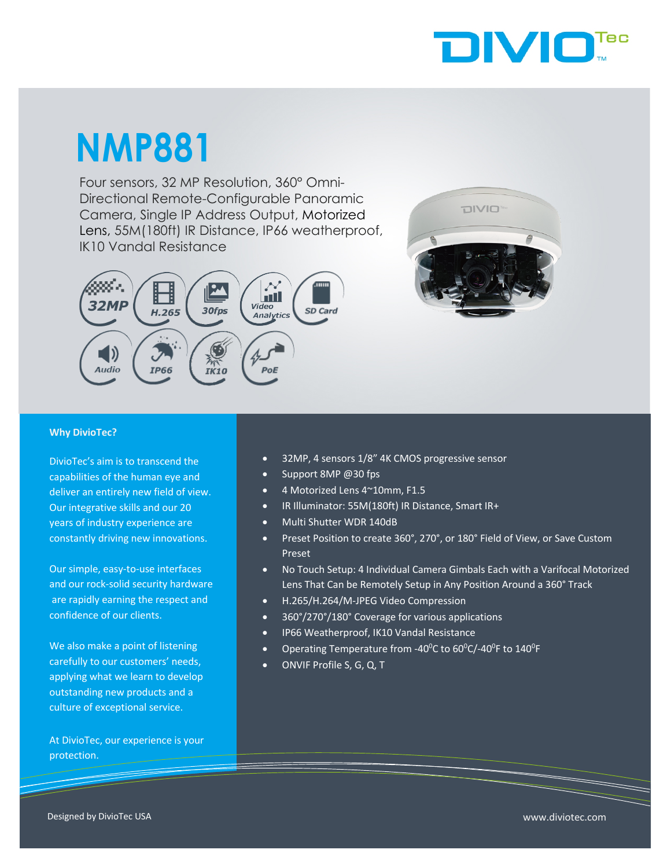

# **NMP881**

Four sensors, 32 MP Resolution, 360° Omni-Directional Remote-Configurable Panoramic Camera, Single IP Address Output, Motorized Lens, 55M(180ft) IR Distance, IP66 weatherproof, Lens, 55M(180ft) IR Dista<br>IK10 Vandal Resistance





#### **Why DivioTec?**

DivioTec's aim is to transcend the capabilities of the human eye and deliver an entirely new field of view. Our integrative skills and our 20 years of industry experience are constantly driving new innovations.

Our simple, easy-to-use interfaces and our rock-solid security hardware are rapidly earning the respect and confidence of our clients.

We also make a point of listening carefully to our customers' needs, applying what we learn to develop outstanding new products and a culture of exceptional service.

At DivioTec, our experience is your protection.

- 32MP, 4 sensors 1/8" 4K CMOS progressive sensor
- Support 8MP @30 fps
- 4 Motorized Lens 4~10mm, F1.5
- IR Illuminator: 55M(180ft) IR Distance, Smart IR+
- Multi Shutter WDR 140dB
- Preset Position to create 360°, 270°, or 180° Field of View, or Save Custom Preset
- No Touch Setup: 4 Individual Camera Gimbals Each with a Varifocal Motorized Lens That Can be Remotely Setup in Any Position Around a 360° Track
- H.265/H.264/M-JPEG Video Compression
- 360°/270°/180° Coverage for various applications
- IP66 Weatherproof, IK10 Vandal Resistance
- Operating Temperature from -40 $^{\circ}$ C to 60 $^{\circ}$ C/-40 $^{\circ}$ F to 140 $^{\circ}$ F
- ONVIF Profile S, G, Q, T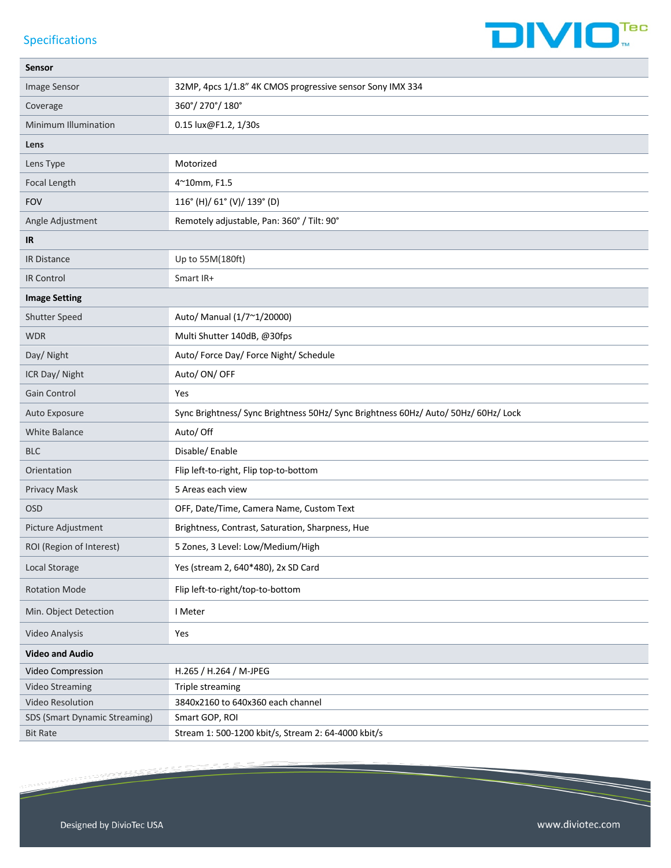#### Specifications



| Sensor                        |                                                                                     |  |
|-------------------------------|-------------------------------------------------------------------------------------|--|
| Image Sensor                  | 32MP, 4pcs 1/1.8" 4K CMOS progressive sensor Sony IMX 334                           |  |
| Coverage                      | 360°/270°/180°                                                                      |  |
| Minimum Illumination          | 0.15 lux@F1.2, 1/30s                                                                |  |
| Lens                          |                                                                                     |  |
| Lens Type                     | Motorized                                                                           |  |
| Focal Length                  | 4~10mm, F1.5                                                                        |  |
| <b>FOV</b>                    | 116° (H)/ 61° (V)/ 139° (D)                                                         |  |
| Angle Adjustment              | Remotely adjustable, Pan: 360° / Tilt: 90°                                          |  |
| IR                            |                                                                                     |  |
| <b>IR Distance</b>            | Up to 55M(180ft)                                                                    |  |
| <b>IR Control</b>             | Smart IR+                                                                           |  |
| <b>Image Setting</b>          |                                                                                     |  |
| Shutter Speed                 | Auto/ Manual (1/7~1/20000)                                                          |  |
| <b>WDR</b>                    | Multi Shutter 140dB, @30fps                                                         |  |
| Day/ Night                    | Auto/ Force Day/ Force Night/ Schedule                                              |  |
| ICR Day/ Night                | Auto/ ON/ OFF                                                                       |  |
| Gain Control                  | Yes                                                                                 |  |
| Auto Exposure                 | Sync Brightness/ Sync Brightness 50Hz/ Sync Brightness 60Hz/ Auto/ 50Hz/ 60Hz/ Lock |  |
| White Balance                 | Auto/ Off                                                                           |  |
| <b>BLC</b>                    | Disable/Enable                                                                      |  |
| Orientation                   | Flip left-to-right, Flip top-to-bottom                                              |  |
| Privacy Mask                  | 5 Areas each view                                                                   |  |
| <b>OSD</b>                    | OFF, Date/Time, Camera Name, Custom Text                                            |  |
| Picture Adjustment            | Brightness, Contrast, Saturation, Sharpness, Hue                                    |  |
| ROI (Region of Interest)      | 5 Zones, 3 Level: Low/Medium/High                                                   |  |
| Local Storage                 | Yes (stream 2, 640*480), 2x SD Card                                                 |  |
| <b>Rotation Mode</b>          | Flip left-to-right/top-to-bottom                                                    |  |
| Min. Object Detection         | I Meter                                                                             |  |
| Video Analysis                | Yes                                                                                 |  |
| <b>Video and Audio</b>        |                                                                                     |  |
| Video Compression             | H.265 / H.264 / M-JPEG                                                              |  |
| <b>Video Streaming</b>        | Triple streaming                                                                    |  |
| Video Resolution              | 3840x2160 to 640x360 each channel                                                   |  |
| SDS (Smart Dynamic Streaming) | Smart GOP, ROI                                                                      |  |
| <b>Bit Rate</b>               | Stream 1: 500-1200 kbit/s, Stream 2: 64-4000 kbit/s                                 |  |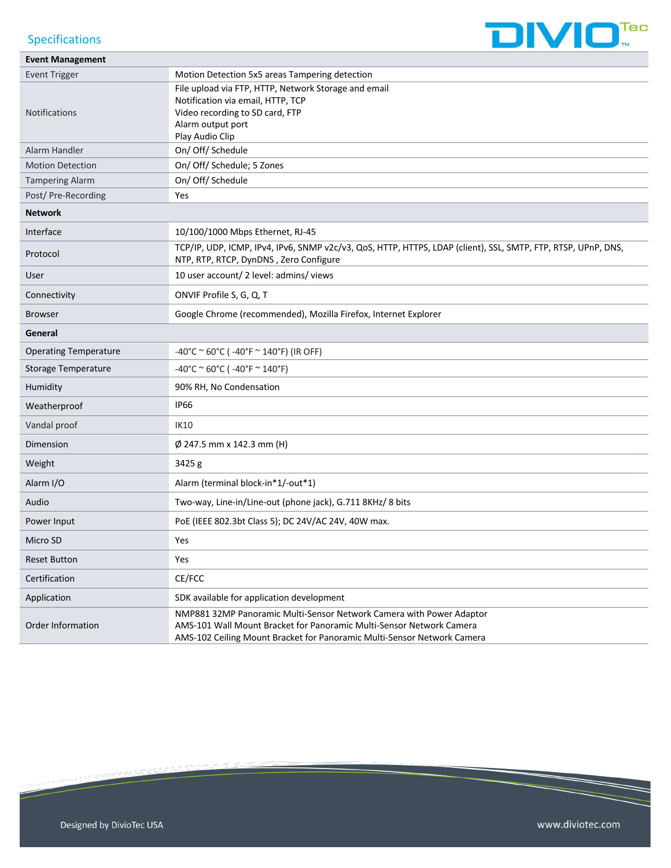

### Specifications

| <b>Event Management</b>      |                                                                                                                                                                                                                         |
|------------------------------|-------------------------------------------------------------------------------------------------------------------------------------------------------------------------------------------------------------------------|
| <b>Event Trigger</b>         | Motion Detection 5x5 areas Tampering detection                                                                                                                                                                          |
| <b>Notifications</b>         | File upload via FTP, HTTP, Network Storage and email<br>Notification via email, HTTP, TCP<br>Video recording to SD card, FTP<br>Alarm output port<br>Play Audio Clip                                                    |
| Alarm Handler                | On/ Off/ Schedule                                                                                                                                                                                                       |
| <b>Motion Detection</b>      | On/ Off/ Schedule; 5 Zones                                                                                                                                                                                              |
| <b>Tampering Alarm</b>       | On/ Off/ Schedule                                                                                                                                                                                                       |
| Post/Pre-Recording           | Yes                                                                                                                                                                                                                     |
| <b>Network</b>               |                                                                                                                                                                                                                         |
| Interface                    | 10/100/1000 Mbps Ethernet, RJ-45                                                                                                                                                                                        |
| Protocol                     | TCP/IP, UDP, ICMP, IPv4, IPv6, SNMP v2c/v3, QoS, HTTP, HTTPS, LDAP (client), SSL, SMTP, FTP, RTSP, UPnP, DNS,<br>NTP, RTP, RTCP, DynDNS, Zero Configure                                                                 |
| User                         | 10 user account/ 2 level: admins/ views                                                                                                                                                                                 |
| Connectivity                 | ONVIF Profile S, G, Q, T                                                                                                                                                                                                |
| <b>Browser</b>               | Google Chrome (recommended), Mozilla Firefox, Internet Explorer                                                                                                                                                         |
| General                      |                                                                                                                                                                                                                         |
| <b>Operating Temperature</b> | $-40^{\circ}$ C ~ 60°C ( $-40^{\circ}$ F ~ 140°F) (IR OFF)                                                                                                                                                              |
| <b>Storage Temperature</b>   | $-40^{\circ}$ C ~ 60°C ( $-40^{\circ}$ F ~ 140°F)                                                                                                                                                                       |
| Humidity                     | 90% RH, No Condensation                                                                                                                                                                                                 |
| Weatherproof                 | <b>IP66</b>                                                                                                                                                                                                             |
| Vandal proof                 | <b>IK10</b>                                                                                                                                                                                                             |
| Dimension                    | $\varnothing$ 247.5 mm x 142.3 mm (H)                                                                                                                                                                                   |
| Weight                       | 3425 g                                                                                                                                                                                                                  |
| Alarm I/O                    | Alarm (terminal block-in*1/-out*1)                                                                                                                                                                                      |
| Audio                        | Two-way, Line-in/Line-out (phone jack), G.711 8KHz/ 8 bits                                                                                                                                                              |
| Power Input                  | PoE (IEEE 802.3bt Class 5); DC 24V/AC 24V, 40W max.                                                                                                                                                                     |
| Micro SD                     | Yes                                                                                                                                                                                                                     |
| <b>Reset Button</b>          | Yes                                                                                                                                                                                                                     |
| Certification                | CE/FCC                                                                                                                                                                                                                  |
| Application                  | SDK available for application development                                                                                                                                                                               |
| Order Information            | NMP881 32MP Panoramic Multi-Sensor Network Camera with Power Adaptor<br>AMS-101 Wall Mount Bracket for Panoramic Multi-Sensor Network Camera<br>AMS-102 Ceiling Mount Bracket for Panoramic Multi-Sensor Network Camera |